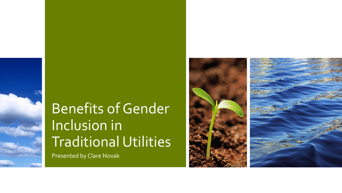## Benefits of Gender Inclusion in Traditional Utilities

Presented by Clare Novak

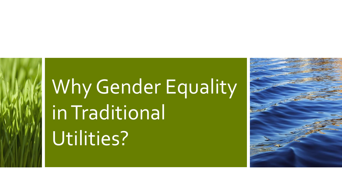# Why Gender Equality in Traditional Utilities?

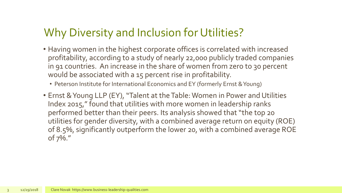#### Why Diversity and Inclusion for Utilities?

- Having women in the highest corporate offices is correlated with increased profitability, according to a study of nearly 22,000 publicly traded companies in 91 countries. An increase in the share of women from zero to 30 percent would be associated with a 15 percent rise in profitability.
	- Peterson Institute for International Economics and EY (formerly Ernst & Young)
- Ernst & Young LLP (EY), "Talent at the Table: Women in Power and Utilities Index 2015," found that utilities with more women in leadership ranks performed better than their peers. Its analysis showed that "the top 20 utilities for gender diversity, with a combined average return on equity (ROE) of 8.5%, significantly outperform the lower 20, with a combined average ROE of 7%."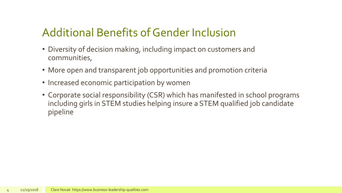### Additional Benefits of Gender Inclusion

- Diversity of decision making, including impact on customers and communities,
- More open and transparent job opportunities and promotion criteria
- Increased economic participation by women
- Corporate social responsibility (CSR) which has manifested in school programs including girls in STEM studies helping insure a STEM qualified job candidate pipeline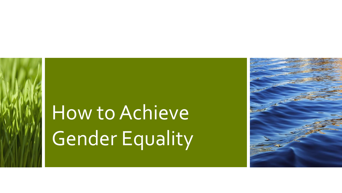## How to Achieve Gender Equality

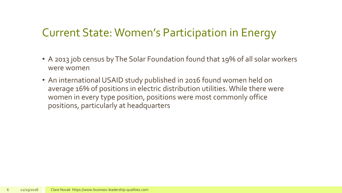#### Current State: Women's Participation in Energy

- A 2013 job census by The Solar Foundation found that 19% of all solar workers were women
- An international USAID study published in 2016 found women held on average 16% of positions in electric distribution utilities. While there were women in every type position, positions were most commonly office positions, particularly at headquarters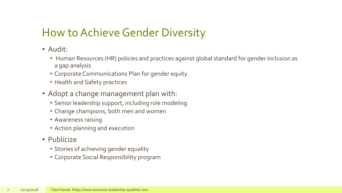#### How to Achieve Gender Diversity

- Audit:
	- Human Resources (HR) policies and practices against global standard for gender inclusion as a gap analysis
	- Corporate Communications Plan for gender equity
	- Health and Safety practices
- Adopt a change management plan with:
	- Senior leadership support, including role modeling
	- Change champions, both men and women
	- Awareness raising
	- Action planning and execution
- Publicize
	- Stories of achieving gender equality
	- Corporate Social Responsibility program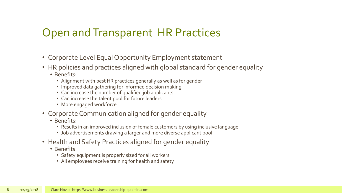#### Open and Transparent HR Practices

- Corporate Level Equal Opportunity Employment statement
- HR policies and practices aligned with global standard for gender equality
	- Benefits:
		- Alignment with best HR practices generally as well as for gender
		- Improved data gathering for informed decision making
		- Can increase the number of qualified job applicants
		- Can increase the talent pool for future leaders
		- More engaged workforce
- Corporate Communication aligned for gender equality
	- Benefits:
		- Results in an improved inclusion of female customers by using inclusive language
		- Job advertisements drawing a larger and more diverse applicant pool
- Health and Safety Practices aligned for gender equality
	- Benefits
		- Safety equipment is properly sized for all workers
		- All employees receive training for health and safety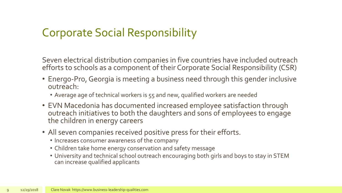#### Corporate Social Responsibility

Seven electrical distribution companies in five countries have included outreach efforts to schools as a component of their Corporate Social Responsibility (CSR)

- Energo-Pro, Georgia is meeting a business need through this gender inclusive outreach:
	- Average age of technical workers is 55 and new, qualified workers are needed
- EVN Macedonia has documented increased employee satisfaction through outreach initiatives to both the daughters and sons of employees to engage the children in energy careers
- All seven companies received positive press for their efforts.
	- Increases consumer awareness of the company
	- Children take home energy conservation and safety message
	- University and technical school outreach encouraging both girls and boys to stay in STEM can increase qualified applicants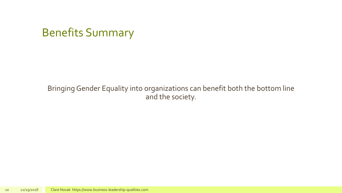### Benefits Summary

#### Bringing Gender Equality into organizations can benefit both the bottom line and the society.